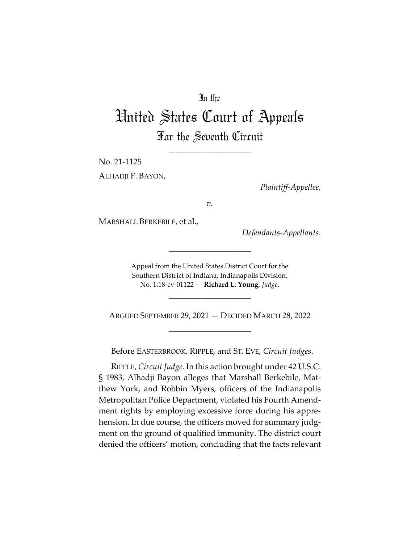# In the

# United States Court of Appeals For the Seventh Circuit

\_\_\_\_\_\_\_\_\_\_\_\_\_\_\_\_\_\_\_\_

No. 21-1125

ALHADJI F. BAYON,

*Plaintiff-Appellee*,

*v.*

MARSHALL BERKEBILE, et al.,

*Defendants-Appellants*.

Appeal from the United States District Court for the Southern District of Indiana, Indianapolis Division. No. 1:18-cv-01122 — **Richard L. Young**, *Judge*.

\_\_\_\_\_\_\_\_\_\_\_\_\_\_\_\_\_\_\_\_

\_\_\_\_\_\_\_\_\_\_\_\_\_\_\_\_\_\_\_\_

ARGUED SEPTEMBER 29, 2021 — DECIDED MARCH 28, 2022 \_\_\_\_\_\_\_\_\_\_\_\_\_\_\_\_\_\_\_\_

Before EASTERBROOK, RIPPLE, and ST. EVE, *Circuit Judges*.

RIPPLE, *Circuit Judge*. In this action brought under 42 U.S.C. § 1983, Alhadji Bayon alleges that Marshall Berkebile, Matthew York, and Robbin Myers, officers of the Indianapolis Metropolitan Police Department, violated his Fourth Amendment rights by employing excessive force during his apprehension. In due course, the officers moved for summary judgment on the ground of qualified immunity. The district court denied the officers' motion, concluding that the facts relevant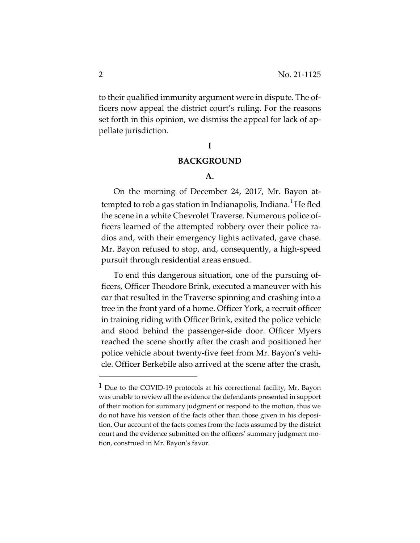to their qualified immunity argument were in dispute. The officers now appeal the district court's ruling. For the reasons set forth in this opinion, we dismiss the appeal for lack of appellate jurisdiction.

#### **I**

### **BACKGROUND**

#### **A.**

On the morning of December 24, 2017, Mr. Bayon attempted to rob a gas station in Indianapolis, Indiana. $^1$  He fled the scene in a white Chevrolet Traverse. Numerous police officers learned of the attempted robbery over their police radios and, with their emergency lights activated, gave chase. Mr. Bayon refused to stop, and, consequently, a high-speed pursuit through residential areas ensued.

To end this dangerous situation, one of the pursuing officers, Officer Theodore Brink, executed a maneuver with his car that resulted in the Traverse spinning and crashing into a tree in the front yard of a home. Officer York, a recruit officer in training riding with Officer Brink, exited the police vehicle and stood behind the passenger-side door. Officer Myers reached the scene shortly after the crash and positioned her police vehicle about twenty-five feet from Mr. Bayon's vehicle. Officer Berkebile also arrived at the scene after the crash,

 $<sup>1</sup>$  Due to the COVID-19 protocols at his correctional facility, Mr. Bayon</sup> was unable to review all the evidence the defendants presented in support of their motion for summary judgment or respond to the motion, thus we do not have his version of the facts other than those given in his deposition. Our account of the facts comes from the facts assumed by the district court and the evidence submitted on the officers' summary judgment motion, construed in Mr. Bayon's favor.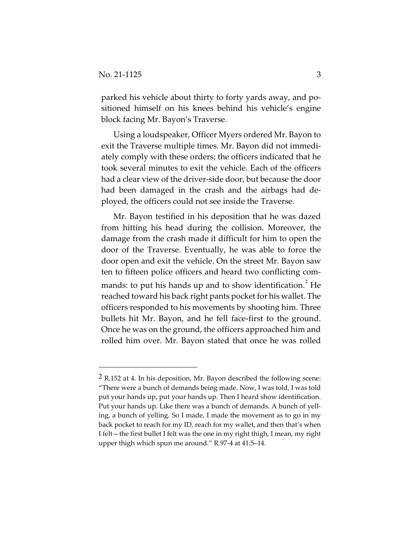parked his vehicle about thirty to forty yards away, and positioned himself on his knees behind his vehicle's engine block facing Mr. Bayon's Traverse.

Using a loudspeaker, Officer Myers ordered Mr. Bayon to exit the Traverse multiple times. Mr. Bayon did not immediately comply with these orders; the officers indicated that he took several minutes to exit the vehicle. Each of the officers had a clear view of the driver-side door, but because the door had been damaged in the crash and the airbags had deployed, the officers could not see inside the Traverse.

Mr. Bayon testified in his deposition that he was dazed from hitting his head during the collision. Moreover, the damage from the crash made it difficult for him to open the door of the Traverse. Eventually, he was able to force the door open and exit the vehicle. On the street Mr. Bayon saw ten to fifteen police officers and heard two conflicting commands: to put his hands up and to show identification.<sup>2</sup> He reached toward his back right pants pocket for his wallet. The officers responded to his movements by shooting him. Three bullets hit Mr. Bayon, and he fell face-first to the ground. Once he was on the ground, the officers approached him and rolled him over. Mr. Bayon stated that once he was rolled

 $2$  R.152 at 4. In his deposition, Mr. Bayon described the following scene: "There were a bunch of demands being made. Now, I was told, I was told put your hands up, put your hands up. Then I heard show identification. Put your hands up. Like there was a bunch of demands. A bunch of yelling, a bunch of yelling. So I made, I made the movement as to go in my back pocket to reach for my ID, reach for my wallet, and then that's when I felt—the first bullet I felt was the one in my right thigh, I mean, my right upper thigh which spun me around." R.97-4 at 41:5–14.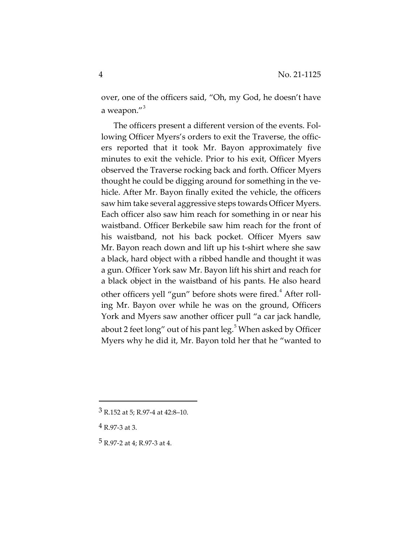over, one of the officers said, "Oh, my God, he doesn't have a weapon."<sup>3</sup>

The officers present a different version of the events. Following Officer Myers's orders to exit the Traverse, the officers reported that it took Mr. Bayon approximately five minutes to exit the vehicle. Prior to his exit, Officer Myers observed the Traverse rocking back and forth. Officer Myers thought he could be digging around for something in the vehicle. After Mr. Bayon finally exited the vehicle, the officers saw him take several aggressive steps towards Officer Myers. Each officer also saw him reach for something in or near his waistband. Officer Berkebile saw him reach for the front of his waistband, not his back pocket. Officer Myers saw Mr. Bayon reach down and lift up his t-shirt where she saw a black, hard object with a ribbed handle and thought it was a gun. Officer York saw Mr. Bayon lift his shirt and reach for a black object in the waistband of his pants. He also heard other officers yell "gun" before shots were fired.<sup>4</sup> After rolling Mr. Bayon over while he was on the ground, Officers York and Myers saw another officer pull "a car jack handle, about 2 feet long" out of his pant leg. $^5$  When asked by Officer Myers why he did it, Mr. Bayon told her that he "wanted to

<sup>3</sup> R.152 at 5; R.97-4 at 42:8–10.

<sup>4</sup> R.97-3 at 3.

<sup>5</sup> R.97-2 at 4; R.97-3 at 4.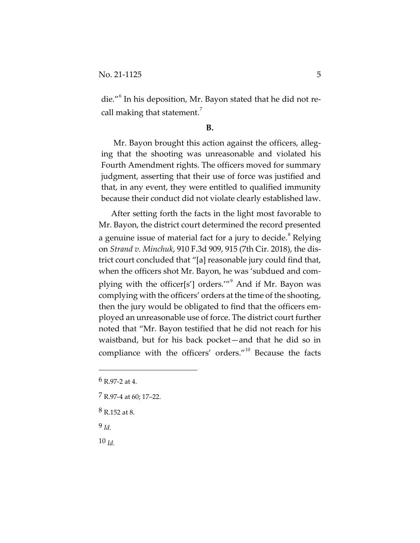die."<sup>6</sup> In his deposition, Mr. Bayon stated that he did not recall making that statement.<sup>7</sup>

#### **B.**

Mr. Bayon brought this action against the officers, alleging that the shooting was unreasonable and violated his Fourth Amendment rights. The officers moved for summary judgment, asserting that their use of force was justified and that, in any event, they were entitled to qualified immunity because their conduct did not violate clearly established law.

After setting forth the facts in the light most favorable to Mr. Bayon, the district court determined the record presented a genuine issue of material fact for a jury to decide.<sup>8</sup> Relying on *Strand v. Minchuk*, 910 F.3d 909, 915 (7th Cir. 2018), the district court concluded that "[a] reasonable jury could find that, when the officers shot Mr. Bayon, he was 'subdued and complying with the officer[s'] orders.'"<sup>9</sup> And if Mr. Bayon was complying with the officers' orders at the time of the shooting, then the jury would be obligated to find that the officers employed an unreasonable use of force. The district court further noted that "Mr. Bayon testified that he did not reach for his waistband, but for his back pocket—and that he did so in compliance with the officers' orders."<sup>10</sup> Because the facts

- 7 R.97-4 at 60; 17–22.
- 8 R.152 at 8.

9 *Id.*

10 *Id.*

<sup>6</sup> R.97-2 at 4.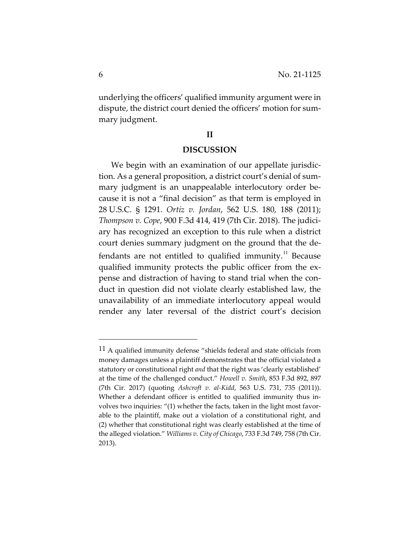underlying the officers' qualified immunity argument were in dispute, the district court denied the officers' motion for summary judgment.

## **II**

#### **DISCUSSION**

We begin with an examination of our appellate jurisdiction. As a general proposition, a district court's denial of summary judgment is an unappealable interlocutory order because it is not a "final decision" as that term is employed in 28 U.S.C. § 1291. *Ortiz v. Jordan*, 562 U.S. 180, 188 (2011); *Thompson v. Cope*, 900 F.3d 414, 419 (7th Cir. 2018). The judiciary has recognized an exception to this rule when a district court denies summary judgment on the ground that the defendants are not entitled to qualified immunity. $11$  Because qualified immunity protects the public officer from the expense and distraction of having to stand trial when the conduct in question did not violate clearly established law, the unavailability of an immediate interlocutory appeal would render any later reversal of the district court's decision

<sup>11</sup> A qualified immunity defense "shields federal and state officials from money damages unless a plaintiff demonstrates that the official violated a statutory or constitutional right *and* that the right was 'clearly established' at the time of the challenged conduct." *Howell v. Smith*, 853 F.3d 892, 897 (7th Cir. 2017) (quoting *Ashcroft v. al-Kidd*, 563 U.S. 731, 735 (2011)). Whether a defendant officer is entitled to qualified immunity thus involves two inquiries: "(1) whether the facts, taken in the light most favorable to the plaintiff, make out a violation of a constitutional right, and (2) whether that constitutional right was clearly established at the time of the alleged violation." *Williams v. City of Chicago*, 733 F.3d 749, 758 (7th Cir. 2013).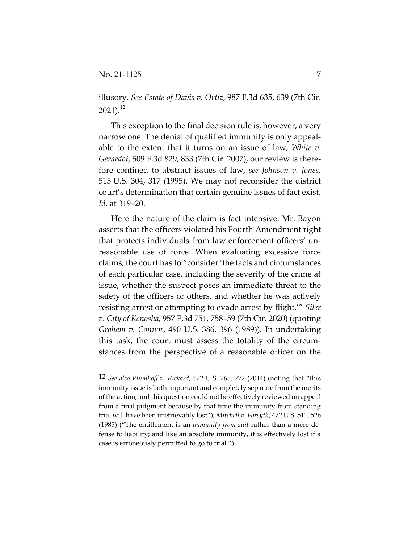illusory. *See Estate of Davis v. Ortiz*, 987 F.3d 635, 639 (7th Cir.  $2021$ ).<sup>12</sup>

This exception to the final decision rule is, however, a very narrow one. The denial of qualified immunity is only appealable to the extent that it turns on an issue of law, *White v. Gerardot*, 509 F.3d 829, 833 (7th Cir. 2007), our review is therefore confined to abstract issues of law, *see Johnson v. Jones*, 515 U.S. 304, 317 (1995). We may not reconsider the district court's determination that certain genuine issues of fact exist. *Id.* at 319–20.

Here the nature of the claim is fact intensive. Mr. Bayon asserts that the officers violated his Fourth Amendment right that protects individuals from law enforcement officers' unreasonable use of force. When evaluating excessive force claims, the court has to "consider 'the facts and circumstances of each particular case, including the severity of the crime at issue, whether the suspect poses an immediate threat to the safety of the officers or others, and whether he was actively resisting arrest or attempting to evade arrest by flight.'" *Siler v. City of Kenosha*, 957 F.3d 751, 758–59 (7th Cir. 2020) (quoting *Graham v. Connor*, 490 U.S. 386, 396 (1989)). In undertaking this task, the court must assess the totality of the circumstances from the perspective of a reasonable officer on the

<sup>12</sup> *See also Plumhoff v. Rickard*, 572 U.S. 765, 772 (2014) (noting that "this immunity issue is both important and completely separate from the merits of the action, and this question could not be effectively reviewed on appeal from a final judgment because by that time the immunity from standing trial will have been irretrievably lost"); *Mitchell v. Forsyth*, 472 U.S. 511, 526 (1985) ("The entitlement is an *immunity from suit* rather than a mere defense to liability; and like an absolute immunity, it is effectively lost if a case is erroneously permitted to go to trial.").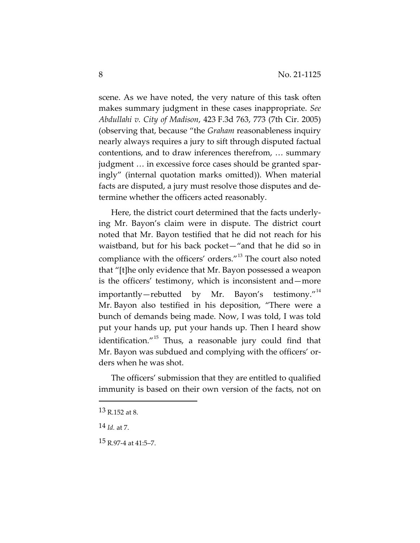scene. As we have noted, the very nature of this task often makes summary judgment in these cases inappropriate. *See Abdullahi v. City of Madison*, 423 F.3d 763, 773 (7th Cir. 2005) (observing that, because "the *Graham* reasonableness inquiry nearly always requires a jury to sift through disputed factual contentions, and to draw inferences therefrom, … summary judgment … in excessive force cases should be granted sparingly" (internal quotation marks omitted)). When material facts are disputed, a jury must resolve those disputes and determine whether the officers acted reasonably.

Here, the district court determined that the facts underlying Mr. Bayon's claim were in dispute. The district court noted that Mr. Bayon testified that he did not reach for his waistband, but for his back pocket—"and that he did so in compliance with the officers' orders."<sup>13</sup> The court also noted that "[t]he only evidence that Mr. Bayon possessed a weapon is the officers' testimony, which is inconsistent and—more importantly—rebutted by Mr. Bayon's testimony."<sup>14</sup> Mr. Bayon also testified in his deposition, "There were a bunch of demands being made. Now, I was told, I was told put your hands up, put your hands up. Then I heard show identification." $15$  Thus, a reasonable jury could find that Mr. Bayon was subdued and complying with the officers' orders when he was shot.

The officers' submission that they are entitled to qualified immunity is based on their own version of the facts, not on

<sup>13</sup> R.152 at 8.

<sup>14</sup> *Id.* at 7.

<sup>15</sup> R.97-4 at 41:5–7.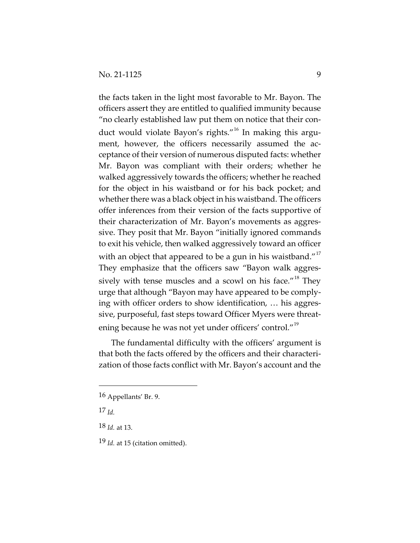the facts taken in the light most favorable to Mr. Bayon. The officers assert they are entitled to qualified immunity because "no clearly established law put them on notice that their conduct would violate Bayon's rights."<sup>16</sup> In making this argument, however, the officers necessarily assumed the acceptance of their version of numerous disputed facts: whether Mr. Bayon was compliant with their orders; whether he walked aggressively towards the officers; whether he reached for the object in his waistband or for his back pocket; and whether there was a black object in his waistband. The officers offer inferences from their version of the facts supportive of their characterization of Mr. Bayon's movements as aggressive. They posit that Mr. Bayon "initially ignored commands to exit his vehicle, then walked aggressively toward an officer with an object that appeared to be a gun in his waistband."<sup>17</sup> They emphasize that the officers saw "Bayon walk aggressively with tense muscles and a scowl on his face."<sup>18</sup> They urge that although "Bayon may have appeared to be complying with officer orders to show identification, … his aggressive, purposeful, fast steps toward Officer Myers were threatening because he was not yet under officers' control."<sup>19</sup>

The fundamental difficulty with the officers' argument is that both the facts offered by the officers and their characterization of those facts conflict with Mr. Bayon's account and the

<sup>16</sup> Appellants' Br. 9.

<sup>17</sup> *Id.*

<sup>18</sup> *Id.* at 13.

<sup>19</sup> *Id.* at 15 (citation omitted).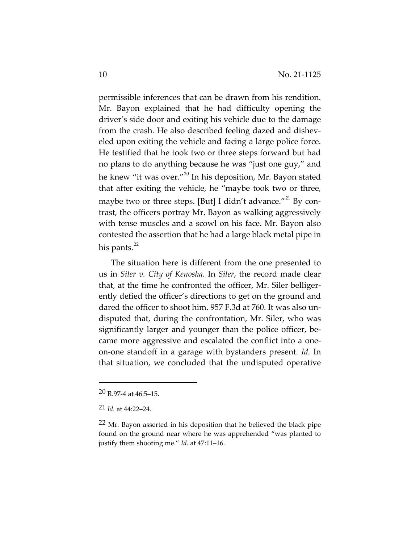permissible inferences that can be drawn from his rendition. Mr. Bayon explained that he had difficulty opening the driver's side door and exiting his vehicle due to the damage from the crash. He also described feeling dazed and disheveled upon exiting the vehicle and facing a large police force. He testified that he took two or three steps forward but had no plans to do anything because he was "just one guy," and he knew "it was over."<sup>20</sup> In his deposition, Mr. Bayon stated that after exiting the vehicle, he "maybe took two or three, maybe two or three steps. [But] I didn't advance."<sup>21</sup> By contrast, the officers portray Mr. Bayon as walking aggressively with tense muscles and a scowl on his face. Mr. Bayon also contested the assertion that he had a large black metal pipe in his pants.<sup>22</sup>

The situation here is different from the one presented to us in *Siler v. City of Kenosha*. In *Siler*, the record made clear that, at the time he confronted the officer, Mr. Siler belligerently defied the officer's directions to get on the ground and dared the officer to shoot him. 957 F.3d at 760. It was also undisputed that, during the confrontation, Mr. Siler, who was significantly larger and younger than the police officer, became more aggressive and escalated the conflict into a oneon-one standoff in a garage with bystanders present. *Id.* In that situation, we concluded that the undisputed operative

<sup>20</sup> R.97-4 at 46:5–15.

<sup>21</sup> *Id.* at 44:22–24.

<sup>&</sup>lt;sup>22</sup> Mr. Bayon asserted in his deposition that he believed the black pipe found on the ground near where he was apprehended "was planted to justify them shooting me." *Id.* at 47:11–16.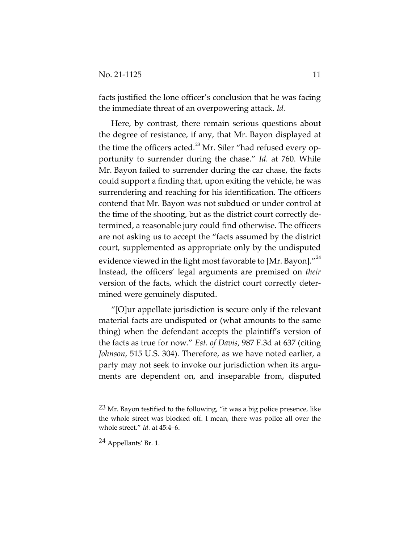facts justified the lone officer's conclusion that he was facing the immediate threat of an overpowering attack. *Id.*

Here, by contrast, there remain serious questions about the degree of resistance, if any, that Mr. Bayon displayed at the time the officers acted.<sup>23</sup> Mr. Siler "had refused every opportunity to surrender during the chase." *Id.* at 760. While Mr. Bayon failed to surrender during the car chase, the facts could support a finding that, upon exiting the vehicle, he was surrendering and reaching for his identification. The officers contend that Mr. Bayon was not subdued or under control at the time of the shooting, but as the district court correctly determined, a reasonable jury could find otherwise. The officers are not asking us to accept the "facts assumed by the district court, supplemented as appropriate only by the undisputed evidence viewed in the light most favorable to [Mr. Bayon]."<sup>24</sup> Instead, the officers' legal arguments are premised on *their* version of the facts, which the district court correctly determined were genuinely disputed.

"[O]ur appellate jurisdiction is secure only if the relevant material facts are undisputed or (what amounts to the same thing) when the defendant accepts the plaintiff's version of the facts as true for now." *Est. of Davis*, 987 F.3d at 637 (citing *Johnson*, 515 U.S. 304). Therefore, as we have noted earlier, a party may not seek to invoke our jurisdiction when its arguments are dependent on, and inseparable from, disputed

<sup>23</sup> Mr. Bayon testified to the following, "it was a big police presence, like the whole street was blocked off. I mean, there was police all over the whole street." *Id.* at 45:4–6.

<sup>24</sup> Appellants' Br. 1.